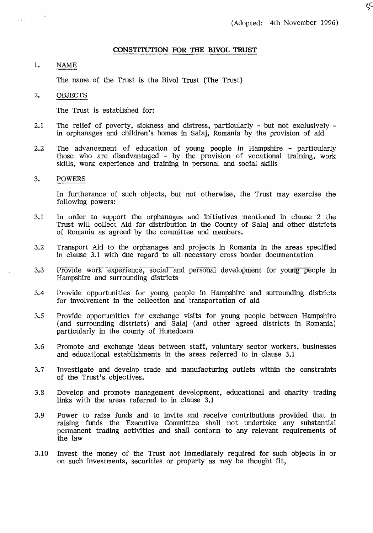# **CONSTITUTION FOR THE BIVOL TRUST**

# **1.** NAME

 $\mathbf{r}$ 

The name of the Trust is the Bivol Trust (The Trust)

#### 2. OBJECTS

The Trust is established for:

- 2.1 The relief of poverty, sickness and distress, particularly but not exclusively in orphanages and children's homes in Salaj, Romania by the provision of aid
- 2.2 The advancement of education of young people in Hampshire particularly those who are disadvantaged - by the provision of vocational training, work skills, work experience and training in personal and social skills

# 3. POWERS

In furtherance of such objects, but not otherwise, the Trust may exercise the following powers:

- 3.1 In order to support the orphanages and initiatives mentioned in clause 2 the Trust will collect Aid for distribution in the County of Salaj and other districts of Romania as agreed by the committee and members.
- 3.2 Transport Aid to the orphanages and projects in Romania in the areas specified in clause 3.1 with due regard to all necessary cross border documentation
- 3.3 Provide work experience, social and personal development for young people in Hampshire and surrounding districts
- 3.4 Provide opportunities for young people in Hampshire and surrounding districts for involvement in the collection and transportation of aid
- 3.5 Provide opportunities for exchange visits for young people between Hampshire (and surrounding districts) and Salaj (and other agreed districts in Romania) particularly in the county of Hunedoara
- 3.6 Promote and exchange ideas between staff, voluntary sector workers, businesses and educational establishments in the areas referred to in clause 3.1
- 3.7 Investigate and develop trade and manufacturing outlets within the constraints of the Trust's objectives.
- 3.8 Develop and promote management development, educational and charity trading links with the areas referred to in clause 3.1
- 3.9 Power to raise funds and to invite and receive contributions provided that in raising funds the Executive Committee shall not undertake any substantial permanent trading activities and shall conform to any relevant requirements of the law
- 3.10 Invest the money of the Trust not immediately required for such objects in or on such investments, securities or property as may be thought fit,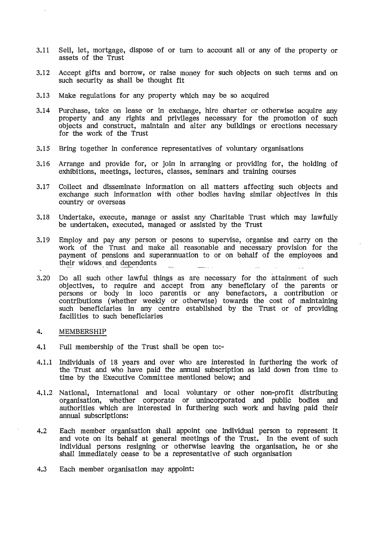- 3.11 Sell, let, mortgage, dispose of or turn to account all or any of the property or assets of the Trust
- 3.12 Accept gifts and borrow, or raise money for such objects on such terms and on such security as shall be thought fit
- 3.13 Make regulations for any property which may be so acquired
- 3.14 Purchase, take on lease or in exchange, hire charter or otherwise acquire any property and any rights and privileges necessary for the promotion of such objects and construct, maintain and alter any buildings or erections necessary for the work of the Trust
- 3.15 Bring together in conference representatives of voluntary organisations
- 3.16 Arrange and provide for, or join in arranging or providing for, the holding of exhibitions, meetings, lectures, classes, seminars and training courses
- 3.17 Collect and disseminate information on all matters affecting such objects and exchange such information with other bodies having similar objectives in this country or overseas
- 3.18 Undertake, execute, manage or assist any Charitable Trust which may lawfully be undertaken, executed, managed or assisted by the Trust
- 3.19 Employ and pay any person or pesons to supervise, organise and carry on the work of the Trust and make all reasonable and necessary provision for the payment of pensions and superannuation to or on behalf of the employees and their widows and dependents
- 3.20 Do all such other lawful things as are necessary for the attainment of such objectives, to require and accept from any beneficiary of the parents or persons or body in loco parentis or any benefactors, a contribution or contributions (whether weekly or otherwise) towards the cost of maintaining such beneficiaries in any centre established by the Trust or of providing facilities to such beneficiaries

# 4. MEMBERSHIP

- 4.1 Full membership of the Trust shall be open to:-
- 4.1.1 Individuals of 18 years and over who are interested in furthering the work of the Trust and who have paid the annual subscription as laid down from time to time by the Executive Committee mentioned below; and
- 4.1.2 National, International and local voluntary or other non-profit distributing organisation, whether corporate or unincorporated and public bodies and authorities which are interested in furthering such work and having paid their annual subscriptions:
- 4.2 Each member organisation shall appoint one individual person to represent it and vote on its behalf at general meetings of the Trust. In the event of such individual persons resigning or otherwise leaving the organisation, he or she shall immediately cease to be a representative of such organisation
- 4-3 Each member organisation may appoint: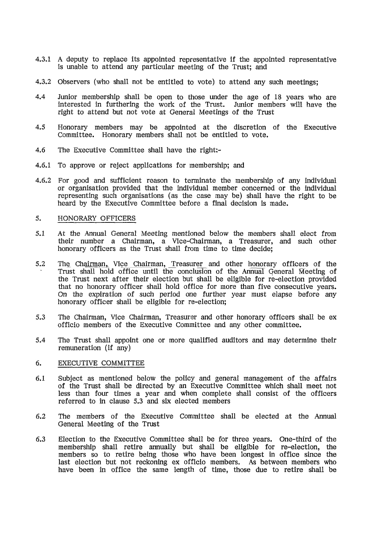- 4.3.1 A deputy to replace its appointed representative if the appointed representative is unable to attend any particular meeting of the Trust; and
- 4.3.2 Observers (who shall not be entitled to vote) to attend any such meetings;
- 4.4 Junior membership shall be open to those under the age of 18 years who are interested in furthering the work of the Trust. Junior members will have the right to attend but not vote at General Meetings of the Trust
- 4.5 Honorary members may be appointed at the discretion of the Executive Committee. Honorary members shall not be entitled to vote.
- 4.6 The Executive Committee shall have the right:-
- 4.6.1 To approve or reject applications for membership; and
- 4.6.2 For good and sufficient reason to terminate the membership of any individual or organisation provided that the individual member concerned or the individual representing such organisations (as the case may be) shall have the right to be heard by the Executive Committee before a final decision is made.

### 5. HONORARY OFFICERS

- 5.1 At the Annual General Meeting mentioned below the members shall elect from their number a Chairman, a Vice-Chairman, a Treasurer, and such other honorary officers as the Trust shall from time to time decide;
- 5.2 The Chairman, Vice Chairman, Treasurer and other honorary officers of the Trust shall hold office until the conclusion of the Annual General Meeting of the Trust next after their election but shall be eligible for re-election provided that no honorary officer shall hold office for more than five consecutive years. On the expiration of such period one further year must elapse before any honorary officer shall be eligible for re-election;
- 5.3 The Chairman, Vice Chairman, Treasurer and other honorary officers shall be ex officio members of the Executive Committee and any other committee.
- 5.4 The Trust shall appoint one or more qualified auditors and may determine their remuneration (if any)

#### 6. EXECUTIVE COMMITTEE

- 6.1 Subject as mentioned below the policy and general management of the affairs of the Trust shall be directed by an Executive Committee which shall meet not less than four times a year and when complete shall consist of the officers referred to in clause 5.3 and six elected members
- 6.2 The members of the Executive Committee shall be elected at the Annual General Meeting of the Trust
- 6.3 Election to the Executive Committee shall be for three years. One-third of the membership shall retire annually but shall be eligible for re-election, the members so to retire being those who have been longest in office since the last election but not reckoning ex officio members. As between members who have been in office the same length of time, those due to retire shall be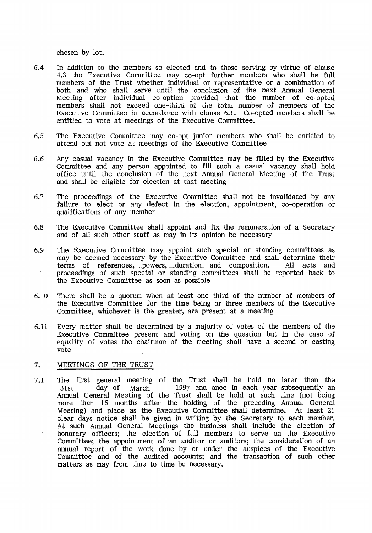chosen by lot.

- 6.4 In addition to the members so elected and to those serving by virtue of clause 4.3 the Executive Committee may co-opt further members who shall be full members of the Trust whether individual or representative or a combination of both and who shall serve until the conclusion of the next Annual General Meeting after individual co-option provided that the number of co-opted members shall not exceed one-third of the total number of members of the Executive Committee in accordance with clause 6.1. Co-opted members shall be entitled to vote at meetings of the Executive Committee.
- 6.5 The Executive Committee may co-opt junior members who shall be entitled to attend but not vote at meetings of the Executive Committee
- 6.6 Any casual vacancy in the Executive Committee may be filled by the Executive Committee and any person appointed to fill such a casual vacancy shall hold office until the conclusion of the next Annual General Meeting of the Trust and shall be eligible for election at that meeting
- 6.7 The proceedings of the Executive Committee shall not be invalidated by any failure to elect or any defect in the election, appointment, co-operation or qualifications of any member
- 6.8 The Executive Committee shall appoint and fix the remuneration of a Secretary and of all such other staff as may in its opinion be necessary
- 6.9 The Executive Committee may appoint such special or standing committees as may be deemed necessary by the Executive Committee and shall determine their terms of references, powers, duration and composition. All acts and proceedings of such special or standing committees shall be. reported back to the Executive Committee as soon as possible
- 6.10 There shall be a quorum when at least one third of the number of members of the Executive Committee for the time being or three members of the Executive Committee, whichever is the greater, are present at a meeting
- 6.11 Every matter shall be determined by a majority of votes of the members of the Executive Committee present and voting on the question but in the case of equality of votes the chairman of the meeting shall have a second or casting vote

#### 7. MEETINGS OF THE TRUST

7.1 The first general meeting of the Trust shall be held no later than the 31st day of March 1997 and once in each year subsequently an Annual General Meeting of the Trust shall be held at such time (not being more than 15 months after the holding of the preceding Annual General<br>Meeting) and place as the Executive Committee shall determine. At least 21 Meeting) and place as the Executive Committee shall determine. clear days notice shall be given in writing by the Secretary to each member. At such Annual General Meetings the business shall include the election of honorary officers; the election of full members to serve on the Executive Committee; the appointment of an auditor or auditors; the consideration of an annual report of the work done by or under the auspices of the Executive Committee and of the audited accounts; and the transaction of such other matters as may from time to time be necessary.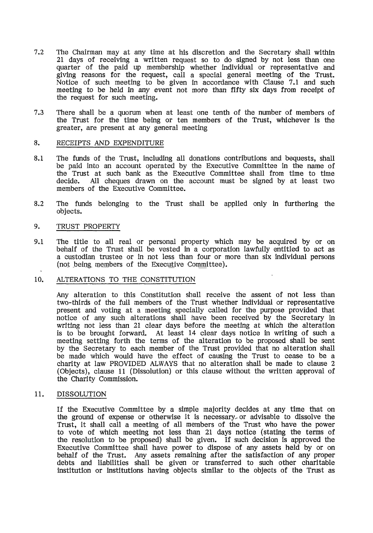- 7.2 The Chairman may at any time at his discretion and the Secretary shall within 21 days of receiving a written request so to do signed by not less than one quarter of the paid up membership whether individual or representative and giving reasons for the request, call a special general meeting of the Trust. Notice of such meeting to be given in accordance with Clause 7.1 and such meeting to be held in any event not more than fifty six days from receipt of the request for such meeting.
- 7.3 There shall be a quorum when at least one tenth of the number of members of the Trust for the time being or ten members of the Trust, whichever is the greater, are present at any general meeting

# 8. RECEIPTS AND EXPENDITURE

- 8.1 The funds of the Trust, including all donations contributions and bequests, shall be paid into an account operated by the Executive Committee in the name of the Trust at such bank as the Executive Committee shall from time to time decide. All cheques drawn on the account must be signed by at least two All cheques drawn on the account must be signed by at least two members of the Executive Committee.
- 8.2 The funds belonging to the Trust shall be applied only in furthering the objects.

# 9. TRUST PROPERTY

9.1 The title to all real or personal property which may be acquired by or on behalf of the Trust shall be vested in a corporation lawfully entitled to act as a custodian trustee or in not less than four or more than six individual persons (not being, members of the Executive Committee).

#### 10. ALTERATIONS TO THE CONSTITUTION

Any alteration to this Constitution shall receive the assent of not less than two-thirds of the full members of the Trust whether individual or representative present and voting at a meeting specially called for the purpose provided that notice of any such alterations shall have been received by the Secretary in writing not less than 21 clear days before the meeting at which the alteration is to be brought forward. At least 14 clear days notice in writing of such a meeting setting forth the terms of the alteration to be proposed shall be sent by the Secretary to each member of the Trust provided that no alteration shall be made which would have the effect of causing the Trust to cease to be a charity at law PROVIDED ALWAYS that no alteration shall be made to clause 2 (Objects), clause 11 (Dissolution) or this clause without the written approval of the Charity Commission.

l,

#### 11. DISSOLUTION

If the Executive Committee by a simple majority decides at any time that on the ground of expense or otherwise it is necessary- or advisable to dissolve the Trust, it shall call a meeting of all members of the Trust who have the power to vote of which meeting not less than 21 days notice (stating the terms of the resolution to be proposed) shall be given. If such decision is approved the Executive Committee shall have power to dispose of any assets held by or on behalf of the Trust. Any assets remaining after the satisfaction of any proper debts and liabilities shall be given or transferred to such other charitable institution or institutions having objects similar to the objects of the Trust as